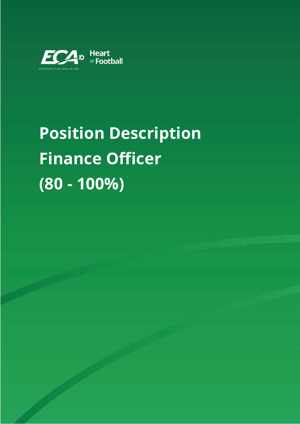

# **Position Description Finance Officer (80 - 100%)**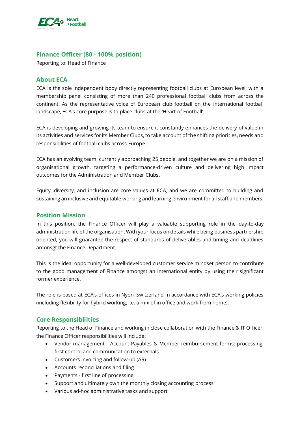

## **Finance Officer (80 - 100% position)**

Reporting to: Head of Finance

## **About ECA**

ECA is the sole independent body directly representing football clubs at European level, with a membership panel consisting of more than 240 professional football clubs from across the continent. As the representative voice of European club football on the international football landscape, ECA's core purpose is to place clubs at the 'Heart of Football'.

ECA is developing and growing its team to ensure it constantly enhances the delivery of value in its activities and services for its Member Clubs, to take account of the shifting priorities, needs and responsibilities of football clubs across Europe.

ECA has an evolving team, currently approaching 25 people, and together we are on a mission of organisational growth, targeting a performance-driven culture and delivering high impact outcomes for the Administration and Member Clubs.

Equity, diversity, and inclusion are core values at ECA, and we are committed to building and sustaining an inclusive and equitable working and learning environment for all staff and members.

#### **Position Mission**

In this position, the Finance Officer will play a valuable supporting role in the day-to-day administration life of the organisation. With your focus on details while being business partnership oriented, you will guarantee the respect of standards of deliverables and timing and deadlines amonsgt the Finance Department.

This is the ideal opportunity for a well-developed customer service mindset person to contribute to the good management of Finance amongst an international entity by using their significant former experience.

The role is based at ECA's offices in Nyon, Switzerland in accordance with ECA's working policies (including flexibility for hybrid working, i.e. a mix of in office and work from home).

#### **Core Responsibilities**

Reporting to the Head of Finance and working in close collaboration with the Finance & IT Officer, the Finance Officer responsibilities will include:

- Vendor management Account Payables & Member reimbursement forms: processing, first control and communication to externals
- Customers invoicing and follow-up (AR)
- Accounts reconciliations and filing
- Payments first line of processing
- Support and ultimately own the monthly closing accounting process
- Various ad-hoc administrative tasks and support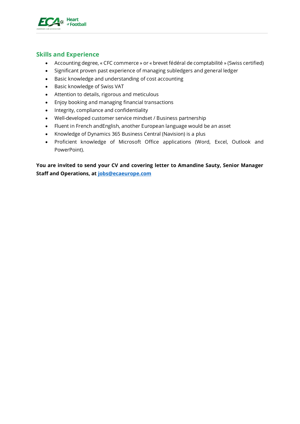

# **Skills and Experience**

- Accounting degree, « CFC commerce » or « brevet fédéral de comptabilité » (Swiss certified)
- Significant proven past experience of managing subledgers and general ledger
- Basic knowledge and understanding of cost accounting
- Basic knowledge of Swiss VAT
- Attention to details, rigorous and meticulous
- Enjoy booking and managing financial transactions
- Integrity, compliance and confidentiality
- Well-developed customer service mindset / Business partnership
- Fluent in French andEnglish, another European language would be an asset
- Knowledge of Dynamics 365 Business Central (Navision) is a plus
- Proficient knowledge of Microsoft Office applications (Word, Excel, Outlook and PowerPoint).

**You are invited to send your CV and covering letter to Amandine Sauty, Senior Manager Staff and Operations, at [jobs@ecaeurope.com](mailto:jobs@ecaeurope.com)**